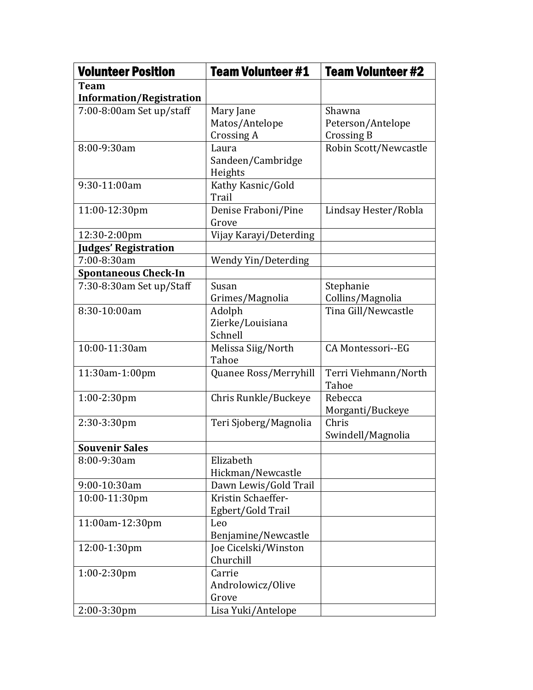| <b>Volunteer Position</b>       | <b>Team Volunteer #1</b>          | <b>Team Volunteer #2</b>      |
|---------------------------------|-----------------------------------|-------------------------------|
| <b>Team</b>                     |                                   |                               |
| <b>Information/Registration</b> |                                   |                               |
| 7:00-8:00am Set up/staff        | Mary Jane                         | Shawna                        |
|                                 | Matos/Antelope                    | Peterson/Antelope             |
|                                 | Crossing A                        | Crossing B                    |
| 8:00-9:30am                     | Laura                             | Robin Scott/Newcastle         |
|                                 | Sandeen/Cambridge                 |                               |
|                                 | Heights                           |                               |
| 9:30-11:00am                    | Kathy Kasnic/Gold<br>Trail        |                               |
| 11:00-12:30pm                   | Denise Fraboni/Pine               | Lindsay Hester/Robla          |
|                                 | Grove                             |                               |
| 12:30-2:00pm                    | Vijay Karayi/Deterding            |                               |
| <b>Judges' Registration</b>     |                                   |                               |
| 7:00-8:30am                     | Wendy Yin/Deterding               |                               |
| <b>Spontaneous Check-In</b>     |                                   |                               |
| 7:30-8:30am Set up/Staff        | Susan                             | Stephanie                     |
|                                 | Grimes/Magnolia                   | Collins/Magnolia              |
| 8:30-10:00am                    | Adolph                            | Tina Gill/Newcastle           |
|                                 | Zierke/Louisiana                  |                               |
|                                 | Schnell                           |                               |
| 10:00-11:30am                   | Melissa Siig/North<br>Tahoe       | CA Montessori--EG             |
| 11:30am-1:00pm                  | Quanee Ross/Merryhill             | Terri Viehmann/North<br>Tahoe |
| $1:00-2:30$ pm                  | Chris Runkle/Buckeye              | Rebecca                       |
|                                 |                                   | Morganti/Buckeye              |
| 2:30-3:30pm                     | Teri Sjoberg/Magnolia             | Chris                         |
|                                 |                                   | Swindell/Magnolia             |
| <b>Souvenir Sales</b>           |                                   |                               |
| 8:00-9:30am                     | Elizabeth                         |                               |
|                                 | Hickman/Newcastle                 |                               |
| 9:00-10:30am                    | Dawn Lewis/Gold Trail             |                               |
| 10:00-11:30pm                   | Kristin Schaeffer-                |                               |
|                                 | Egbert/Gold Trail                 |                               |
| 11:00am-12:30pm                 | Leo                               |                               |
|                                 | Benjamine/Newcastle               |                               |
| 12:00-1:30pm                    | Joe Cicelski/Winston<br>Churchill |                               |
|                                 |                                   |                               |
| 1:00-2:30pm                     | Carrie                            |                               |
|                                 | Androlowicz/Olive<br>Grove        |                               |
| 2:00-3:30pm                     | Lisa Yuki/Antelope                |                               |
|                                 |                                   |                               |